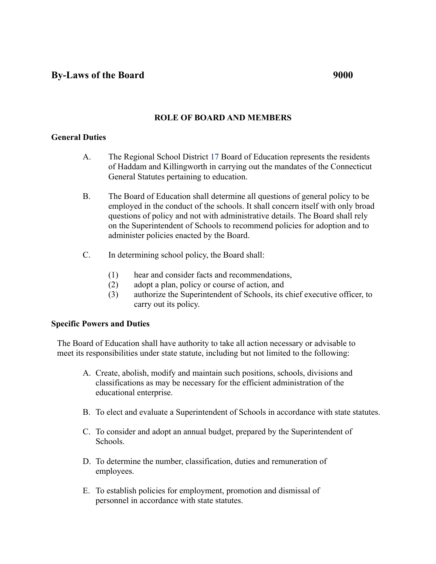# **By-Laws of the Board 9000**

## **ROLE OF BOARD AND MEMBERS**

### **General Duties**

- A. The Regional School District 17 Board of Education represents the residents of Haddam and Killingworth in carrying out the mandates of the Connecticut General Statutes pertaining to education.
- B. The Board of Education shall determine all questions of general policy to be employed in the conduct of the schools. It shall concern itself with only broad questions of policy and not with administrative details. The Board shall rely on the Superintendent of Schools to recommend policies for adoption and to administer policies enacted by the Board.
- C. In determining school policy, the Board shall:
	- (1) hear and consider facts and recommendations,
	- (2) adopt a plan, policy or course of action, and
	- (3) authorize the Superintendent of Schools, its chief executive officer, to carry out its policy.

#### **Specific Powers and Duties**

The Board of Education shall have authority to take all action necessary or advisable to meet its responsibilities under state statute, including but not limited to the following:

- A. Create, abolish, modify and maintain such positions, schools, divisions and classifications as may be necessary for the efficient administration of the educational enterprise.
- B. To elect and evaluate a Superintendent of Schools in accordance with state statutes.
- C. To consider and adopt an annual budget, prepared by the Superintendent of Schools.
- D. To determine the number, classification, duties and remuneration of employees.
- E. To establish policies for employment, promotion and dismissal of personnel in accordance with state statutes.